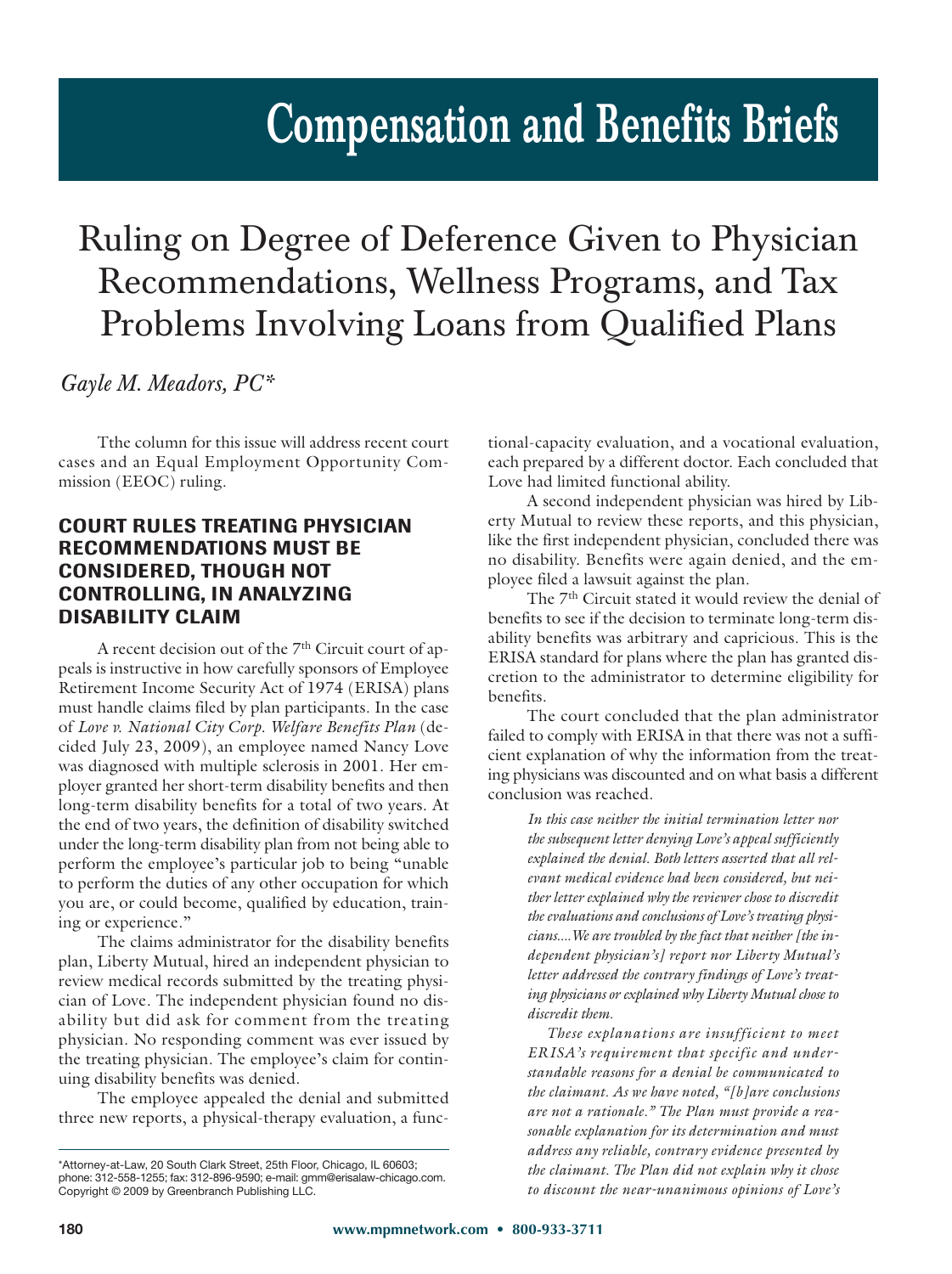# **Compensation and Benefits Briefs**

## Ruling on Degree of Deference Given to Physician Recommendations, Wellness Programs, and Tax Problems Involving Loans from Qualified Plans

*Gayle M. Meadors, PC\**

Tthe column for this issue will address recent court cases and an Equal Employment Opportunity Com mission (EEOC) ruling.

### **COURT RULES TREATING PHYSICIAN RECOMMENDATIONS MUST BE CONSIDERED, THOUGH NOT CONTROLLING, IN ANALYZING DISABILITY CLAIM**

A recent decision out of the  $7<sup>th</sup>$  Circuit court of appeals is instructive in how carefully sponsors of Employee Retirement Income Security Act of 1974 (ERISA) plans must handle claims filed by plan participants. In the case of *Love v. National City Corp. Welfare Benefits Plan* (decided July 23, 2009), an employee named Nancy Love was diagnosed with multiple sclerosis in 2001. Her employer granted her short-term disability benefits and then long-term disability benefits for a total of two years. At the end of two years, the definition of disability switched under the long-term disability plan from not being able to perform the employee's particular job to being "unable to perform the duties of any other occupation for which you are, or could become, qualified by education, training or experience."

The claims administrator for the disability benefits plan, Liberty Mutual, hired an independent physician to review medical records submitted by the treating physician of Love. The independent physician found no disability but did ask for comment from the treating physician. No responding comment was ever issued by the treating physician. The employee's claim for continuing disability benefits was denied.

The employee appealed the denial and submitted three new reports, a physical-therapy evaluation, a functional-capacity evaluation, and a vocational evaluation, each prepared by a different doctor. Each concluded that Love had limited functional ability.

A second independent physician was hired by Liberty Mutual to review these reports, and this physician, like the first independent physician, concluded there was no disability. Benefits were again denied, and the employee filed a lawsuit against the plan.

The 7<sup>th</sup> Circuit stated it would review the denial of benefits to see if the decision to terminate long-term disability benefits was arbitrary and capricious. This is the ERISA standard for plans where the plan has granted discretion to the administrator to determine eligibility for benefits.

The court concluded that the plan administrator failed to comply with ERISA in that there was not a sufficient explanation of why the information from the treating physicians was discounted and on what basis a different conclusion was reached.

*In this case neither the initial termination letter nor the subsequent letter denying Love's appeal sufficiently explained the denial. Both letters asserted that all relevant medical evidence had been considered, but neither letter explained why the reviewer chose to discredit the evaluations and conclusions of Love's treating physicians....We are troubled by the fact that neither [the independent physician's] report nor Liberty Mutual's letter addressed the contrary findings of Love's treating physicians or explained why Liberty Mutual chose to discredit them.*

*These explanations are insufficient to meet ERISA's requirement that specific and understandable reasons for a denial be communicated to the claimant. As we have noted, "[b]are conclusions are not a rationale." The Plan must provide a reasonable explanation for its determination and must address any reliable, contrary evidence presented by the claimant. The Plan did not explain why it chose to discount the near-unanimous opinions of Love's*

 $\frac{1}{2}$ hhone; 312-558-1255; fav: 312-896-9590; e-mail: amm@erisalaw-chicago phone: 312-558-1255; fax: 312-896-9590; e-mail: gmm@erisalaw-chicago.com. Copyright © 2009 by Greenbranch Publishing LLC.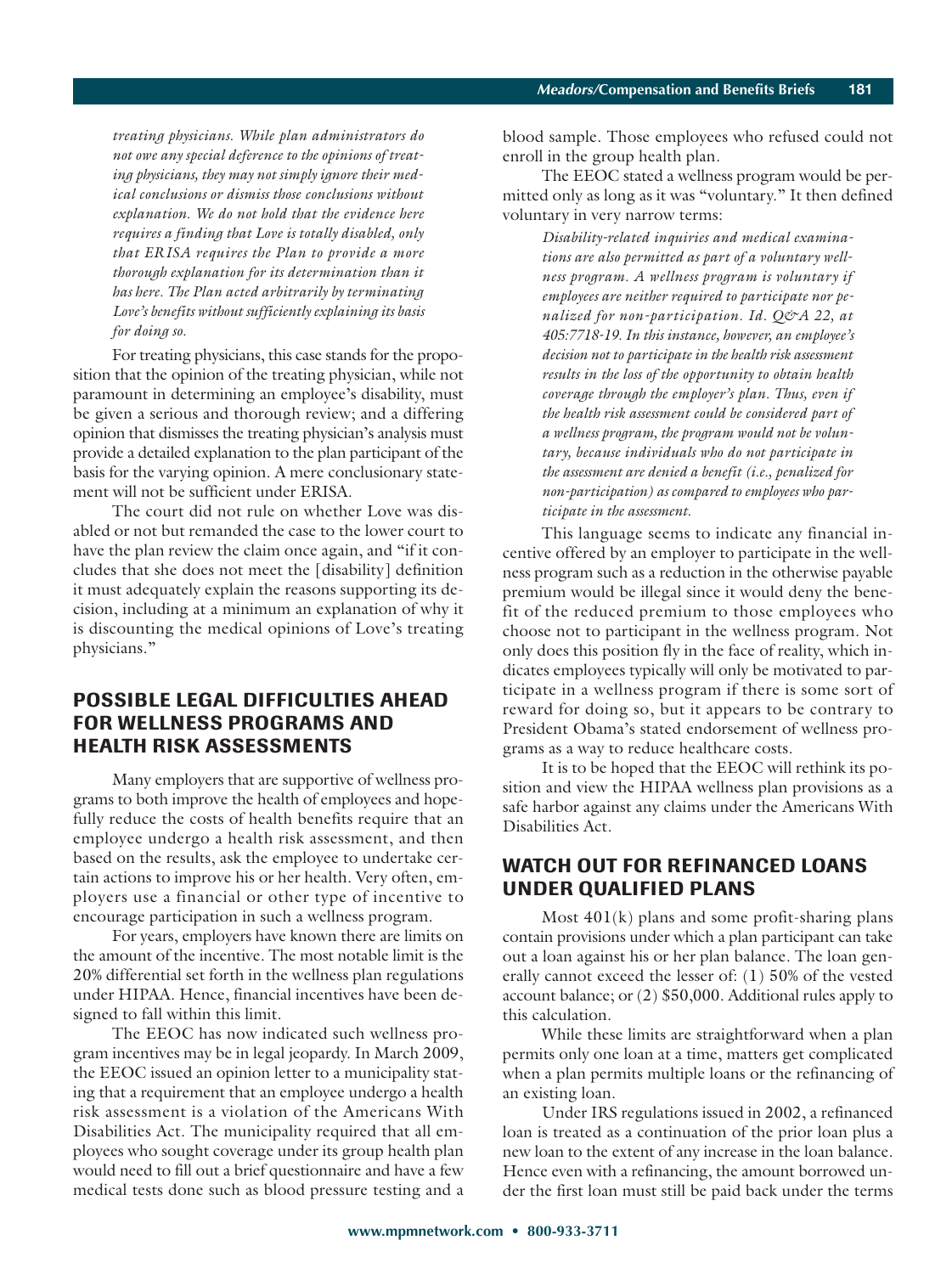*treating physicians. While plan administrators do not owe any special deference to the opinions of treating physicians, they may not simply ignore their medical conclusions or dismiss those conclusions without explanation. We do not hold that the evidence here requires a finding that Love is totally disabled, only that ERISA requires the Plan to provide a more thorough explanation for its determination than it has here. The Plan acted arbitrarily by terminating Love's benefits without sufficiently explaining its basis for doing so.*

For treating physicians, this case stands for the proposition that the opinion of the treating physician, while not paramount in determining an employee's disability, must be given a serious and thorough review; and a differing opinion that dismisses the treating physician's analysis must provide a detailed explanation to the plan participant of the basis for the varying opinion. A mere conclusionary statement will not be sufficient under ERISA.

The court did not rule on whether Love was disabled or not but remanded the case to the lower court to have the plan review the claim once again, and "if it concludes that she does not meet the [disability] definition it must adequately explain the reasons supporting its decision, including at a minimum an explanation of why it is discounting the medical opinions of Love's treating physicians."

#### **POSSIBLE LEGAL DIFFICULTIES AHEAD FOR WELLNESS PROGRAMS AND HEALTH RISK ASSESSMENTS**

Many employers that are supportive of wellness programs to both improve the health of employees and hopefully reduce the costs of health benefits require that an employee undergo a health risk assessment, and then based on the results, ask the employee to undertake certain actions to improve his or her health. Very often, employers use a financial or other type of incentive to encourage participation in such a wellness program.

For years, employers have known there are limits on the amount of the incentive. The most notable limit is the 20% differential set forth in the wellness plan regulations under HIPAA. Hence, financial incentives have been designed to fall within this limit.

The EEOC has now indicated such wellness program incentives may be in legal jeopardy. In March 2009, the EEOC issued an opinion letter to a municipality stating that a requirement that an employee undergo a health risk assessment is a violation of the Americans With Disabilities Act. The municipality required that all employees who sought coverage under its group health plan would need to fill out a brief questionnaire and have a few medical tests done such as blood pressure testing and a

blood sample. Those employees who refused could not enroll in the group health plan.

The EEOC stated a wellness program would be permitted only as long as it was "voluntary." It then defined voluntary in very narrow terms:

> *Disability-related inquiries and medical examinations are also permitted as part of a voluntary wellness program. A wellness program is voluntary if employees are neither required to participate nor penalized for non-participation. Id. Q&A 22, at 405:7718-19. In this instance, however, an employee's decision not to participate in the health risk assessment results in the loss of the opportunity to obtain health coverage through the employer's plan. Thus, even if the health risk asses sment could be considered part of a wellness program, the program would not be voluntary, because individuals who do not participate in the assessment are denied a benefit (i.e., penalized for non-participation) as compared to employees who participate in the assessment.*

This language seems to indicate any financial incentive offered by an employer to participate in the wellness program such as a reduction in the otherwise payable premium would be illegal since it would deny the benefit of the reduced premium to those employees who choose not to participant in the wellness program. Not only does this position fly in the face of reality, which indicates employees typically will only be motivated to participate in a wellness program if there is some sort of reward for doing so, but it appears to be contrary to President Obama's stated endorsement of wellness programs as a way to reduce healthcare costs.

It is to be hoped that the EEOC will rethink its position and view the HIPAA wellness plan provisions as a safe harbor against any claims under the Americans With Disabilities Act.

#### **WATCH OUT FOR REFINANCED LOANS UNDER QUALIFIED PLANS**

Most 401(k) plans and some profit-sharing plans contain provisions under which a plan participant can take out a loan against his or her plan balance. The loan generally cannot exceed the lesser of: (1) 50% of the vested account balance; or (2) \$50,000. Additional rules apply to this calculation.

While these limits are straightforward when a plan permits only one loan at a time, matters get complicated when a plan permits multiple loans or the refinancing of an existing loan.

Under IRS regulations issued in 2002, a refinanced loan is treated as a continuation of the prior loan plus a new loan to the extent of any increase in the loan balance. Hence even with a refinancing, the amount borrowed under the first loan must still be paid back under the terms